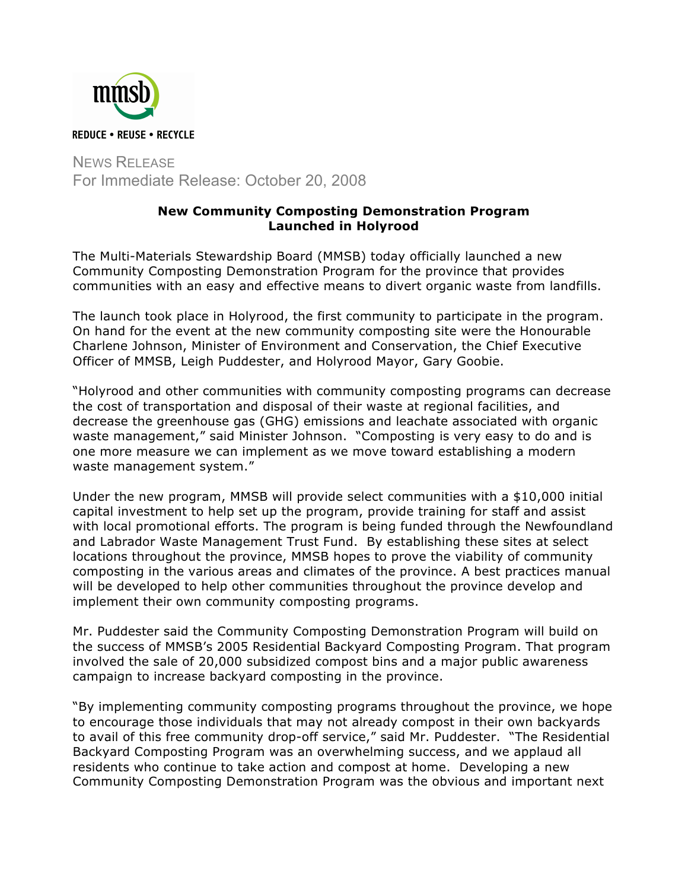

NEWS RELEASE For Immediate Release: October 20, 2008

## **New Community Composting Demonstration Program Launched in Holyrood**

The Multi-Materials Stewardship Board (MMSB) today officially launched a new Community Composting Demonstration Program for the province that provides communities with an easy and effective means to divert organic waste from landfills.

The launch took place in Holyrood, the first community to participate in the program. On hand for the event at the new community composting site were the Honourable Charlene Johnson, Minister of Environment and Conservation, the Chief Executive Officer of MMSB, Leigh Puddester, and Holyrood Mayor, Gary Goobie.

"Holyrood and other communities with community composting programs can decrease the cost of transportation and disposal of their waste at regional facilities, and decrease the greenhouse gas (GHG) emissions and leachate associated with organic waste management," said Minister Johnson. "Composting is very easy to do and is one more measure we can implement as we move toward establishing a modern waste management system."

Under the new program, MMSB will provide select communities with a \$10,000 initial capital investment to help set up the program, provide training for staff and assist with local promotional efforts. The program is being funded through the Newfoundland and Labrador Waste Management Trust Fund. By establishing these sites at select locations throughout the province, MMSB hopes to prove the viability of community composting in the various areas and climates of the province. A best practices manual will be developed to help other communities throughout the province develop and implement their own community composting programs.

Mr. Puddester said the Community Composting Demonstration Program will build on the success of MMSB's 2005 Residential Backyard Composting Program. That program involved the sale of 20,000 subsidized compost bins and a major public awareness campaign to increase backyard composting in the province.

"By implementing community composting programs throughout the province, we hope to encourage those individuals that may not already compost in their own backyards to avail of this free community drop-off service," said Mr. Puddester. "The Residential Backyard Composting Program was an overwhelming success, and we applaud all residents who continue to take action and compost at home. Developing a new Community Composting Demonstration Program was the obvious and important next